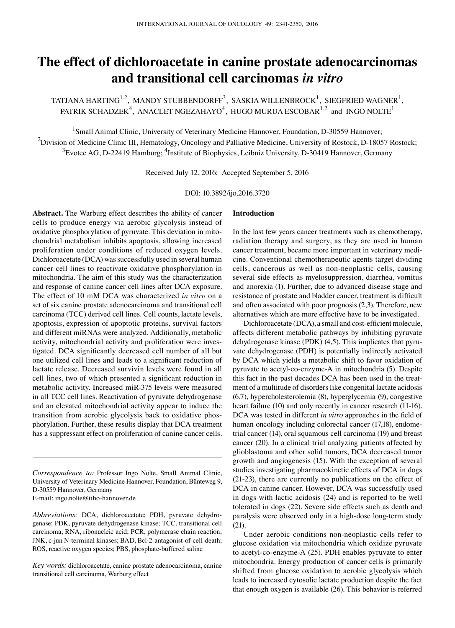# **The effect of dichloroacetate in canine prostate adenocarcinomas and transitional cell carcinomas** *in vitro*

TATJANA HARTING $^{1,2}$ , MANDY STUBBENDORFF $^3$ , SASKIA WILLENBROCK $^1$ , SIEGFRIED WAGNER $^1$ , PATRIK SCHADZEK $^4$ , ANACLET NGEZAHAYO $^4$ , HUGO MURUA ESCOBAR $^{1,2}$  and INGO NOLTE $^1$ 

<sup>1</sup>Small Animal Clinic, University of Veterinary Medicine Hannover, Foundation, D-30559 Hannover;  $^2$ Division of Medicine Clinic III, Hematology, Oncology and Palliative Medicine, University of Rostock, D-18057 Rostock;  $^3$ Evotec AG, D-22419 Hamburg; <sup>4</sup>Institute of Biophysics, Leibniz University, D-30419 Hannover, Germany

Received July 12, 2016; Accepted September 5, 2016

DOI: 10.3892/ijo.2016.3720

**Abstract.** The Warburg effect describes the ability of cancer cells to produce energy via aerobic glycolysis instead of oxidative phosphorylation of pyruvate. This deviation in mitochondrial metabolism inhibits apoptosis, allowing increased proliferation under conditions of reduced oxygen levels. Dichloroacetate (DCA) was successfully used in several human cancer cell lines to reactivate oxidative phosphorylation in mitochondria. The aim of this study was the characterization and response of canine cancer cell lines after DCA exposure. The effect of 10 mM DCA was characterized *in vitro* on a set of six canine prostate adenocarcinoma and transitional cell carcinoma (TCC) derived cell lines. Cell counts, lactate levels, apoptosis, expression of apoptotic proteins, survival factors and different miRNAs were analyzed. Additionally, metabolic activity, mitochondrial activity and proliferation were investigated. DCA significantly decreased cell number of all but one utilized cell lines and leads to a significant reduction of lactate release. Decreased survivin levels were found in all cell lines, two of which presented a significant reduction in metabolic activity. Increased miR-375 levels were measured in all TCC cell lines. Reactivation of pyruvate dehydrogenase and an elevated mitochondrial activity appear to induce the transition from aerobic glycolysis back to oxidative phosphorylation. Further, these results display that DCA treatment has a suppressant effect on proliferation of canine cancer cells.

*Correspondence to:* Professor Ingo Nolte, Small Animal Clinic, University of Veterinary Medicine Hannover, Foundation, Bünteweg 9, D-30559 Hannover, Germany E-mail: ingo.nolte@tiho-hannover.de

*Abbreviations:* DCA, dichloroacetate; PDH, pyruvate dehydrogenase; PDK, pyruvate dehydrogenase kinase; TCC, transitional cell carcinoma; RNA, ribonucleic acid; PCR, polymerase chain reaction; JNK, c-jun N-terminal kinases; BAD, Bcl-2-antagonist-of-cell-death; ROS, reactive oxygen species; PBS, phosphate-buffered saline

*Key words:* dichloroacetate, canine prostate adenocarcinoma, canine transitional cell carcinoma, Warburg effect

## **Introduction**

In the last few years cancer treatments such as chemotherapy, radiation therapy and surgery, as they are used in human cancer treatment, became more important in veterinary medicine. Conventional chemotherapeutic agents target dividing cells, cancerous as well as non-neoplastic cells, causing several side effects as myelosuppression, diarrhea, vomitus and anorexia (1). Further, due to advanced disease stage and resistance of prostate and bladder cancer, treatment is difficult and often associated with poor prognosis (2,3). Therefore, new alternatives which are more effective have to be investigated.

Dichloroacetate (DCA), a small and cost-efficient molecule, affects different metabolic pathways by inhibiting pyruvate dehydrogenase kinase (PDK) (4,5). This implicates that pyruvate dehydrogenase (PDH) is potentially indirectly activated by DCA which yields a metabolic shift to favor oxidation of pyruvate to acetyl-co-enzyme-A in mitochondria (5). Despite this fact in the past decades DCA has been used in the treatment of a multitude of disorders like congenital lactate acidosis (6,7), hypercholesterolemia (8), hyperglycemia (9), congestive heart failure (10) and only recently in cancer research (11-16). DCA was tested in different *in vitro* approaches in the field of human oncology including colorectal cancer (17,18), endometrial cancer (14), oral squamous cell carcinoma (19) and breast cancer (20). In a clinical trial analyzing patients affected by glioblastoma and other solid tumors, DCA decreased tumor growth and angiogenesis (15). With the exception of several studies investigating pharmacokinetic effects of DCA in dogs (21-23), there are currently no publications on the effect of DCA in canine cancer. However, DCA was successfully used in dogs with lactic acidosis (24) and is reported to be well tolerated in dogs (22). Severe side effects such as death and paralysis were observed only in a high-dose long-term study (21).

Under aerobic conditions non-neoplastic cells refer to glucose oxidation via mitochondria which oxidize pyruvate to acetyl-co-enzyme-A (25). PDH enables pyruvate to enter mitochondria. Energy production of cancer cells is primarily shifted from glucose oxidation to aerobic glycolysis which leads to increased cytosolic lactate production despite the fact that enough oxygen is available (26). This behavior is referred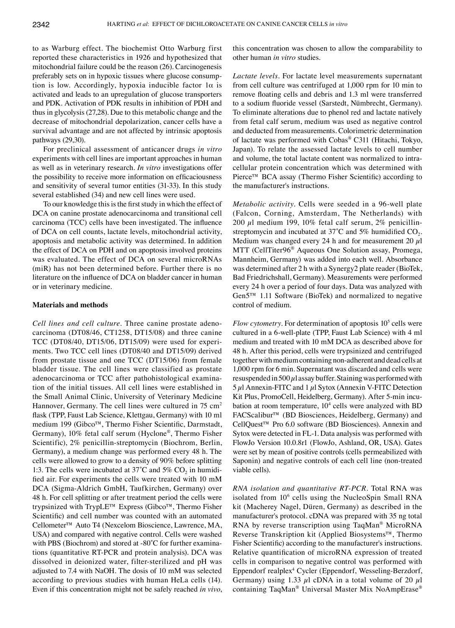to as Warburg effect. The biochemist Otto Warburg first reported these characteristics in 1926 and hypothesized that mitochondrial failure could be the reason (26). Carcinogenesis preferably sets on in hypoxic tissues where glucose consumption is low. Accordingly, hypoxia inducible factor  $1\alpha$  is activated and leads to an upregulation of glucose transporters and PDK. Activation of PDK results in inhibition of PDH and thus in glycolysis (27,28). Due to this metabolic change and the decrease of mitochondrial depolarization, cancer cells have a survival advantage and are not affected by intrinsic apoptosis pathways (29,30).

For preclinical assessment of anticancer drugs *in vitro* experiments with cell lines are important approaches in human as well as in veterinary research. *In vitro* investigations offer the possibility to receive more information on efficaciousness and sensitivity of several tumor entities (31-33). In this study several established (34) and new cell lines were used.

To our knowledge this is the first study in which the effect of DCA on canine prostate adenocarcinoma and transitional cell carcinoma (TCC) cells have been investigated. The influence of DCA on cell counts, lactate levels, mitochondrial activity, apoptosis and metabolic activity was determined. In addition the effect of DCA on PDH and on apoptosis involved proteins was evaluated. The effect of DCA on several microRNAs (miR) has not been determined before. Further there is no literature on the influence of DCA on bladder cancer in human or in veterinary medicine.

#### **Materials and methods**

*Cell lines and cell culture.* Three canine prostate adenocarcinoma (DT08/46, CT1258, DT15/08) and three canine TCC (DT08/40, DT15/06, DT15/09) were used for experiments. Two TCC cell lines (DT08/40 and DT15/09) derived from prostate tissue and one TCC (DT15/06) from female bladder tissue. The cell lines were classified as prostate adenocarcinoma or TCC after pathohistological examination of the initial tissues. All cell lines were established in the Small Animal Clinic, University of Veterinary Medicine Hannover, Germany. The cell lines were cultured in 75 cm<sup>2</sup> flask (TPP, Faust Lab Science, Klettgau, Germany) with 10 ml medium 199 (Gibco™, Thermo Fisher Scientific, Darmstadt, Germany), 10% fetal calf serum (Hyclone®, Thermo Fisher Scientific), 2% penicillin-streptomycin (Biochrom, Berlin, Germany), a medium change was performed every 48 h. The cells were allowed to grow to a density of 90% before splitting 1:3. The cells were incubated at 37<sup>°</sup>C and 5%  $CO<sub>2</sub>$  in humidified air. For experiments the cells were treated with 10 mM DCA (Sigma-Aldrich GmbH, Taufkirchen, Germany) over 48 h. For cell splitting or after treatment period the cells were trypsinized with TrypLE™ Express (Gibco™, Thermo Fisher Scientific) and cell number was counted with an automated Cellometer™ Auto T4 (Nexcelom Bioscience, Lawrence, MA, USA) and compared with negative control. Cells were washed with PBS (Biochrom) and stored at -80<sup>°</sup>C for further examinations (quantitative RT-PCR and protein analysis). DCA was dissolved in deionized water, filter-sterilized and pH was adjusted to 7.4 with NaOH. The dosis of 10 mM was selected according to previous studies with human HeLa cells (14). Even if this concentration might not be safely reached *in vivo*, this concentration was chosen to allow the comparability to other human *in vitro* studies.

*Lactate levels.* For lactate level measurements supernatant from cell culture was centrifuged at 1,000 rpm for 10 min to remove floating cells and debris and 1.3 ml were transferred to a sodium fluoride vessel (Sarstedt, Nümbrecht, Germany). To eliminate alterations due to phenol red and lactate natively from fetal calf serum, medium was used as negative control and deducted from measurements. Colorimetric determination of lactate was performed with Cobas® C311 (Hitachi, Tokyo, Japan). To relate the assessed lactate levels to cell number and volume, the total lactate content was normalized to intracellular protein concentration which was determined with Pierce™ BCA assay (Thermo Fisher Scientific) according to the manufacturer's instructions.

*Metabolic activity.* Cells were seeded in a 96-well plate (Falcon, Corning, Amsterdam, The Netherlands) with 200  $\mu$ l medium 199, 10% fetal calf serum, 2% penicillinstreptomycin and incubated at  $37^{\circ}$ C and  $5\%$  humidified CO<sub>2</sub>. Medium was changed every 24 h and for measurement 20  $\mu$ l MTT (CellTiter96® Aqueous One Solution assay, Promega, Mannheim, Germany) was added into each well. Absorbance was determined after 2 h with a Synergy2 plate reader (BioTek, Bad Friedrichshall, Germany). Measurements were performed every 24 h over a period of four days. Data was analyzed with Gen5™ 1.11 Software (BioTek) and normalized to negative control of medium.

*Flow cytometry*. For determination of apoptosis 10<sup>5</sup> cells were cultured in a 6-well-plate (TPP, Faust Lab Science) with 4 ml medium and treated with 10 mM DCA as described above for 48 h. After this period, cells were trypsinized and centrifuged together with medium containing non-adherent and dead cells at 1,000 rpm for 6 min. Supernatant was discarded and cells were resuspended in 500  $\mu$ l assay buffer. Staining was performed with  $5 \mu$ l Annexin-FITC and 1  $\mu$ l Sytox (Annexin V-FITC Detection Kit Plus, PromoCell, Heidelberg, Germany). After 5-min incubation at room temperature, 10<sup>4</sup> cells were analyzed with BD FACScalibur™ (BD Biosciences, Heidelberg, Germany) and CellQuest™ Pro 6.0 software (BD Biosciences). Annexin and Sytox were detected in FL-1. Data analysis was performed with FlowJo Version 10.0.8r1 (FlowJo, Ashland, OR, USA). Gates were set by mean of positive controls (cells permeabilized with Saponin) and negative controls of each cell line (non-treated viable cells).

*RNA isolation and quantitative RT-PCR.* Total RNA was isolated from 10<sup>6</sup> cells using the NucleoSpin Small RNA kit (Macherey Nagel, Düren, Germany) as described in the manufacturer's protocol. cDNA was prepared with 35 ng total RNA by reverse transcription using TaqMan<sup>®</sup> MicroRNA Reverse Transkription kit (Applied Biosystems™, Thermo Fisher Scientific) according to the manufacturer's instructions. Relative quantification of microRNA expression of treated cells in comparison to negative control was performed with Eppendorf realplex4 Cycler (Eppendorf, Wesseling-Berzdorf, Germany) using 1.33  $\mu$ l cDNA in a total volume of 20  $\mu$ l containing TaqMan® Universal Master Mix NoAmpErase®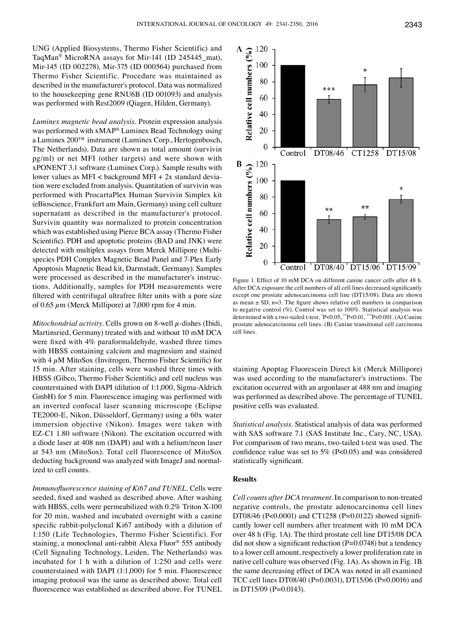UNG (Applied Biosystems, Thermo Fisher Scientific) and TaqMan® MicroRNA assays for Mir-141 (ID 245445\_mat), Mir-145 (ID 002278), Mir-375 (ID 000564) purchased from Thermo Fisher Scientific. Procedure was maintained as described in the manufacturer's protocol. Data was normalized to the housekeeping gene RNU6B (ID 001093) and analysis was performed with Rest2009 (Qiagen, Hilden, Germany).

*Luminex magnetic bead analysis.* Protein expression analysis was performed with xMAP® Luminex Bead Technology using a Luminex 200™ instrument (Luminex Corp., Hertogenbosch, The Netherlands). Data are shown as total amount (survivin pg/ml) or net MFI (other targets) and were shown with xPONENT 3.1 software (Luminex Corp.). Sample results with lower values as  $MFI <$  background  $MFI + 2x$  standard deviation were excluded from analysis. Quantitation of survivin was performed with ProcartaPlex Human Survivin Simplex kit (eBioscience, Frankfurt am Main, Germany) using cell culture supernatant as described in the manufacturer's protocol. Survivin quantity was normalized to protein concentration which was established using Pierce BCA assay (Thermo Fisher Scientific). PDH and apoptotic proteins (BAD and JNK) were detected with multiplex assays from Merck Millipore (Multispecies PDH Complex Magnetic Bead Panel and 7-Plex Early Apoptosis Magnetic Bead kit, Darmstadt, Germany). Samples were processed as described in the manufacturer's instructions. Additionally, samples for PDH measurements were filtered with centrifugal ultrafree filter units with a pore size of 0.65  $\mu$ m (Merck Millipore) at 7,000 rpm for 4 min.

*Mitochondrial activity.* Cells grown on 8-well  $\mu$ -dishes (Ibidi, Martinsried, Germany) treated with and without 10 mM DCA were fixed with 4% paraformaldehyde, washed three times with HBSS containing calcium and magnesium and stained with  $4 \mu$ M MitoSox (Invitrogen, Thermo Fisher Scientific) for 15 min. After staining, cells were washed three times with HBSS (Gibco, Thermo Fisher Scientific) and cell nucleus was counterstained with DAPI (dilution of 1:1,000, Sigma-Aldrich GmbH) for 5 min. Fluorescence imaging was performed with an inverted confocal laser scanning microscope (Eclipse TE2000-E, Nikon, Düsseldorf, Germany) using a 60x water immersion objective (Nikon). Images were taken with EZ-C1 1.80 software (Nikon). The excitation occurred with a diode laser at 408 nm (DAPI) and with a helium/neon laser at 543 nm (MitoSox). Total cell fluorescence of MitoSox deducting background was analyzed with ImageJ and normalized to cell counts.

*Immunofluorescence staining of Ki67 and TUNEL.* Cells were seeded, fixed and washed as described above. After washing with HBSS, cells were permeabilized with 0.2% Triton X-100 for 20 min, washed and incubated overnight with a canine specific rabbit-polyclonal Ki67 antibody with a dilution of 1:150 (Life Technologies, Thermo Fisher Scientific). For staining, a monoclonal anti-rabbit Alexa Fluor® 555 antibody (Cell Signaling Technology, Leiden, The Netherlands) was incubated for 1 h with a dilution of 1:250 and cells were counterstained with DAPI (1:1,000) for 5 min. Fluorescence imaging protocol was the same as described above. Total cell fluorescence was established as described above. For TUNEL



Figure 1. Effect of 10 mM DCA on different canine cancer cells after 48 h. After DCA exposure the cell numbers of all cell lines decreased significantly except one prostate adenocarcinoma cell line (DT15/08). Data are shown as mean  $\pm$  SD, n=3. The figure shows relative cell numbers in comparison to negative control (%). Control was set to 100%. Statistical analysis was determined with a two-tailed t-test, \* P<0.05, \*\*P<0.01, \*\*\*P<0.001. (A) Canine prostate adenocarcinoma cell lines. (B) Canine transitional cell carcinoma cell lines.

staining Apoptag Fluorescein Direct kit (Merck Millipore) was used according to the manufacturer's instructions. The excitation occurred with an argonlaser at 488 nm and imaging was performed as described above. The percentage of TUNEL positive cells was evaluated.

*Statistical analysis.* Statistical analysis of data was performed with SAS software 7.1 (SAS Institute Inc., Cary, NC, USA). For comparison of two means, two-tailed t-test was used. The confidence value was set to  $5\%$  (P<0.05) and was considered statistically significant.

### **Results**

*Cell counts after DCA treatment.* In comparison to non-treated negative controls, the prostate adenocarcinoma cell lines DT08/46 (P<0.0001) and CT1258 (P=0.0122) showed significantly lower cell numbers after treatment with 10 mM DCA over 48 h (Fig. 1A). The third prostate cell line DT15/08 DCA did not show a significant reduction  $(P=0.0748)$  but a tendency to a lower cell amount, respectively a lower proliferation rate in native cell culture was observed (Fig. 1A). As shown in Fig. 1B the same decreasing effect of DCA was noted in all examined TCC cell lines DT08/40 (P=0.0031), DT15/06 (P=0.0016) and in DT15/09 (P=0.0143).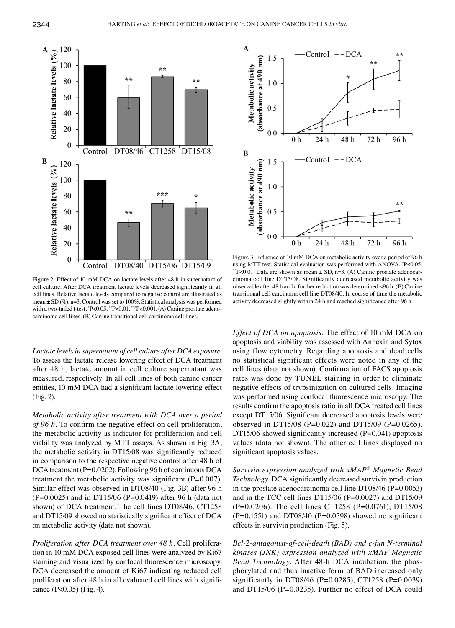

Figure 2. Effect of 10 mM DCA on lactate levels after 48 h in supernatant of cell culture. After DCA treatment lactate levels decreased significantly in all cell lines. Relative lactate levels compared to negative control are illustrated as mean  $\pm$  SD (%), n=3. Control was set to 100%. Statistical analysis was performed with a two-tailed t-test, \* P<0.05, \*\*P<0.01, \*\*\*P<0.001. (A) Canine prostate adenocarcinoma cell lines. (B) Canine transitional cell carcinoma cell lines.

*Lactate levels in supernatant of cell culture after DCA exposure.*  To assess the lactate release lowering effect of DCA treatment after 48 h, lactate amount in cell culture supernatant was measured, respectively. In all cell lines of both canine cancer entities, 10 mM DCA had a significant lactate lowering effect (Fig. 2).

*Metabolic activity after treatment with DCA over a period of 96 h.* To confirm the negative effect on cell proliferation, the metabolic activity as indicator for proliferation and cell viability was analyzed by MTT assays. As shown in Fig. 3A, the metabolic activity in DT15/08 was significantly reduced in comparison to the respective negative control after 48 h of DCA treatment (P=0.0202). Following 96 h of continuous DCA treatment the metabolic activity was significant  $(P=0.007)$ . Similar effect was observed in DT08/40 (Fig. 3B) after 96 h  $(P=0.0025)$  and in DT15/06 (P=0.0419) after 96 h (data not shown) of DCA treatment. The cell lines DT08/46, CT1258 and DT15/09 showed no statistically significant effect of DCA on metabolic activity (data not shown).

*Proliferation after DCA treatment over 48 h. Cell prolifera*tion in 10 mM DCA exposed cell lines were analyzed by Ki67 staining and visualized by confocal fluorescence microscopy. DCA decreased the amount of Ki67 indicating reduced cell proliferation after 48 h in all evaluated cell lines with significance (P<0.05) (Fig. 4).



Figure 3. Influence of 10 mM DCA on metabolic activity over a period of 96 h using MTT-test. Statistical evaluation was performed with ANOVA, \*P<0.05, \*\*P<0.01. Data are shown as mean  $\pm$  SD, n=3. (A) Canine prostate adenocarcinoma cell line DT15/08. Significantly decreased metabolic activity was observable after 48 h and a further reduction was determined ≤96 h. (B) Canine transitional cell carcinoma cell line DT08/40. In course of time the metabolic activity decreased slightly within 24 h and reached significance after 96 h.

*Effect of DCA on apoptosis.* The effect of 10 mM DCA on apoptosis and viability was assessed with Annexin and Sytox using flow cytometry. Regarding apoptosis and dead cells no statistical significant effects were noted in any of the cell lines (data not shown). Confirmation of FACS apoptosis rates was done by TUNEL staining in order to eliminate negative effects of trypsinization on cultured cells. Imaging was performed using confocal fluorescence microscopy. The results confirm the apoptosis ratio in all DCA treated cell lines except DT15/06. Significant decreased apoptosis levels were observed in DT15/08 (P=0.022) and DT15/09 (P=0.0265). DT15/06 showed significantly increased (P=0.041) apoptosis values (data not shown). The other cell lines displayed no significant apoptosis values.

*Survivin expression analyzed with xMAP® Magnetic Bead Technology.* DCA significantly decreased survivin production in the prostate adenocarcinoma cell line DT08/46 (P=0.0053) and in the TCC cell lines DT15/06 (P=0.0027) and DT15/09 (P=0.0206). The cell lines CT1258 (P=0.0761), DT15/08  $(P=0.1551)$  and DT08/40  $(P=0.0598)$  showed no significant effects in survivin production (Fig. 5).

*Bcl-2-antagonist-of-cell-death (BAD) and c-jun N-terminal kinases (JNK) expression analyzed with xMAP Magnetic Bead Technology.* After 48-h DCA incubation, the phosphorylated and thus inactive form of BAD increased only significantly in DT08/46 (P=0.0285), CT1258 (P=0.0039) and DT15/06 (P=0.0235). Further no effect of DCA could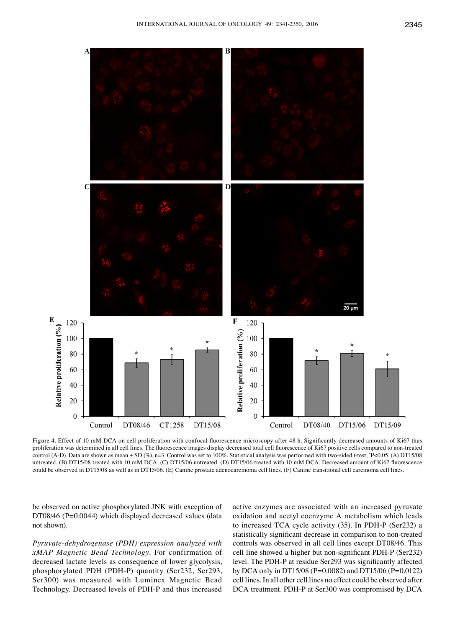

Figure 4. Effect of 10 mM DCA on cell proliferation with confocal fluorescence microscopy after 48 h. Significantly decreased amounts of Ki67 thus proliferation was determined in all cell lines. The fluorescence images display decreased total cell fluorescence of Ki67 positive cells compared to non-treated control (A-D). Data are shown as mean ± SD (%), n=3. Control was set to 100%. Statistical analysis was performed with two-sided t-test, \* P<0.05. (A) DT15/08 untreated. (B) DT15/08 treated with 10 mM DCA. (C) DT15/06 untreated. (D) DT15/06 treated with 10 mM DCA. Decreased amount of Ki67 fluorescence could be observed in DT15/08 as well as in DT15/06. (E) Canine prostate adenocarcinoma cell lines. (F) Canine transitional cell carcinoma cell lines.

be observed on active phosphorylated JNK with exception of DT08/46 (P=0.0044) which displayed decreased values (data not shown).

*Pyruvate-dehydrogenase (PDH) expression analyzed with xMAP Magnetic Bead Technology.* For confirmation of decreased lactate levels as consequence of lower glycolysis, phosphorylated PDH (PDH-P) quantity (Ser232, Ser293, Ser300) was measured with Luminex Magnetic Bead Technology. Decreased levels of PDH-P and thus increased active enzymes are associated with an increased pyruvate oxidation and acetyl coenzyme A metabolism which leads to increased TCA cycle activity (35). In PDH-P (Ser232) a statistically significant decrease in comparison to non-treated controls was observed in all cell lines except DT08/46. This cell line showed a higher but non‑significant PDH‑P (Ser232) level. The PDH-P at residue Ser293 was significantly affected by DCA only in DT15/08 (P=0.0082) and DT15/06 (P=0.0122) cell lines. In all other cell lines no effect could be observed after DCA treatment. PDH-P at Ser300 was compromised by DCA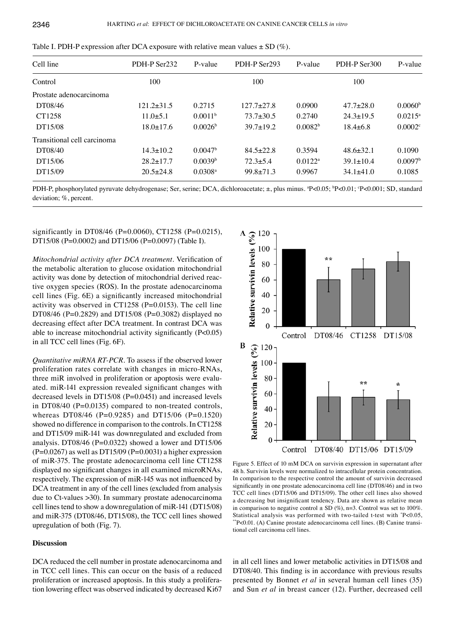| Cell line                   | PDH-P Ser232    | P-value               | PDH-P Ser293    | P-value             | PDH-P Ser300    | P-value             |
|-----------------------------|-----------------|-----------------------|-----------------|---------------------|-----------------|---------------------|
| Control                     | 100             |                       | 100             |                     | 100             |                     |
| Prostate adenocarcinoma     |                 |                       |                 |                     |                 |                     |
| DT08/46                     | $121.2 + 31.5$  | 0.2715                | $127.7 + 27.8$  | 0.0900              | $47.7 \pm 28.0$ | 0.0060 <sup>b</sup> |
| CT1258                      | $11.0\pm 5.1$   | 0.0011 <sup>b</sup>   | $73.7 \pm 30.5$ | 0.2740              | $24.3 \pm 19.5$ | $0.0215^{\circ}$    |
| DT15/08                     | $18.0 \pm 17.6$ | 0.0026 <sup>b</sup>   | $39.7 \pm 19.2$ | 0.0082 <sup>b</sup> | $18.4\pm 6.8$   | 0.0002c             |
| Transitional cell carcinoma |                 |                       |                 |                     |                 |                     |
| DT08/40                     | $14.3 \pm 10.2$ | 0.0047 <sup>b</sup>   | $84.5 \pm 22.8$ | 0.3594              | $48.6 \pm 32.1$ | 0.1090              |
| DT15/06                     | $28.2 \pm 17.7$ | 0.0039 <sup>b</sup>   | $72.3 \pm 5.4$  | $0.0122^a$          | $39.1 \pm 10.4$ | 0.0097 <sup>b</sup> |
| DT15/09                     | $20.5 \pm 24.8$ | $0.0308$ <sup>a</sup> | $99.8 \pm 71.3$ | 0.9967              | $34.1 \pm 41.0$ | 0.1085              |

Table I. PDH-P expression after DCA exposure with relative mean values  $\pm$  SD (%).

PDH-P, phosphorylated pyruvate dehydrogenase; Ser, serine; DCA, dichloroacetate; ±, plus minus. <sup>a</sup>P<0.05; <sup>b</sup>P<0.01; <sup>c</sup>P<0.001; SD, standard deviation; %, percent.

significantly in DT08/46 (P=0.0060), CT1258 (P=0.0215), DT15/08 (P=0.0002) and DT15/06 (P=0.0097) (Table I).

*Mitochondrial activity after DCA treatment.* Verification of the metabolic alteration to glucose oxidation mitochondrial activity was done by detection of mitochondrial derived reactive oxygen species (ROS). In the prostate adenocarcinoma cell lines (Fig. 6E) a significantly increased mitochondrial activity was observed in CT1258 (P=0.0153). The cell line DT08/46 (P=0.2829) and DT15/08 (P=0.3082) displayed no decreasing effect after DCA treatment. In contrast DCA was able to increase mitochondrial activity significantly (P<0.05) in all TCC cell lines (Fig. 6F).

*Quantitative miRNA RT-PCR.* To assess if the observed lower proliferation rates correlate with changes in micro-RNAs, three miR involved in proliferation or apoptosis were evaluated. miR-141 expression revealed significant changes with decreased levels in DT15/08 (P=0.0451) and increased levels in DT08/40 (P=0.0135) compared to non-treated controls, whereas DT08/46 (P=0.9285) and DT15/06 (P=0.1520) showed no difference in comparison to the controls. In CT1258 and DT15/09 miR-141 was downregulated and excluded from analysis. DT08/46 (P=0.0322) showed a lower and DT15/06  $(P=0.0267)$  as well as DT15/09 (P=0.0031) a higher expression of miR-375. The prostate adenocarcinoma cell line CT1258 displayed no significant changes in all examined microRNAs, respectively. The expression of miR-145 was not influenced by DCA treatment in any of the cell lines (excluded from analysis due to Ct-values >30). In summary prostate adenocarcinoma cell lines tend to show a downregulation of miR-141 (DT15/08) and miR-375 (DT08/46, DT15/08), the TCC cell lines showed upregulation of both (Fig. 7).

### **Discussion**

DCA reduced the cell number in prostate adenocarcinoma and in TCC cell lines. This can occur on the basis of a reduced proliferation or increased apoptosis. In this study a proliferation lowering effect was observed indicated by decreased Ki67



Figure 5. Effect of 10 mM DCA on survivin expression in supernatant after 48 h. Survivin levels were normalized to intracellular protein concentration. In comparison to the respective control the amount of survivin decreased significantly in one prostate adenocarcinoma cell line (DT08/46) and in two TCC cell lines (DT15/06 and DT15/09). The other cell lines also showed a decreasing but insignificant tendency. Data are shown as relative mean in comparison to negative control  $\pm$  SD (%), n=3. Control was set to 100%. Statistical analysis was performed with two-tailed t-test with \* P<0.05, \*\*P<0.01. (A) Canine prostate adenocarcinoma cell lines. (B) Canine transitional cell carcinoma cell lines.

in all cell lines and lower metabolic activities in DT15/08 and DT08/40. This finding is in accordance with previous results presented by Bonnet *et al* in several human cell lines (35) and Sun *et al* in breast cancer (12). Further, decreased cell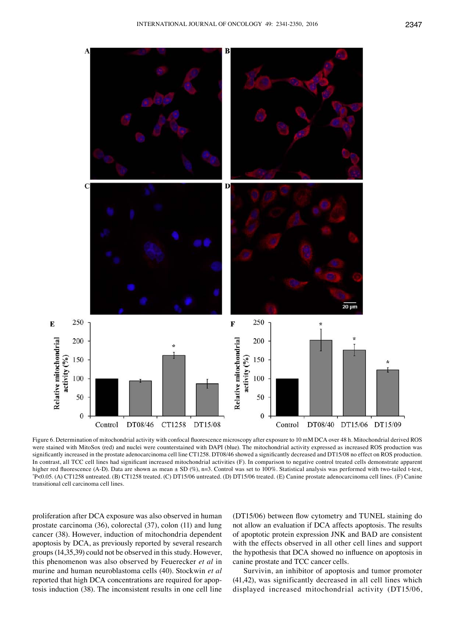

Figure 6. Determination of mitochondrial activity with confocal fluorescence microscopy after exposure to 10 mM DCA over 48 h. Mitochondrial derived ROS were stained with MitoSox (red) and nuclei were counterstained with DAPI (blue). The mitochondrial activity expressed as increased ROS production was significantly increased in the prostate adenocarcinoma cell line CT1258. DT08/46 showed a significantly decreased and DT15/08 no effect on ROS production. In contrast, all TCC cell lines had significant increased mitochondrial activities (F). In comparison to negative control treated cells demonstrate apparent higher red fluorescence (A-D). Data are shown as mean ± SD (%), n=3. Control was set to 100%. Statistical analysis was performed with two-tailed t-test, \* P<0.05. (A) CT1258 untreated. (B) CT1258 treated. (C) DT15/06 untreated. (D) DT15/06 treated. (E) Canine prostate adenocarcinoma cell lines. (F) Canine transitional cell carcinoma cell lines.

proliferation after DCA exposure was also observed in human prostate carcinoma (36), colorectal (37), colon (11) and lung cancer (38). However, induction of mitochondria dependent apoptosis by DCA, as previously reported by several research groups (14,35,39) could not be observed in this study. However, this phenomenon was also observed by Feuerecker *et al* in murine and human neuroblastoma cells (40). Stockwin *et al* reported that high DCA concentrations are required for apoptosis induction (38). The inconsistent results in one cell line (DT15/06) between flow cytometry and TUNEL staining do not allow an evaluation if DCA affects apoptosis. The results of apoptotic protein expression JNK and BAD are consistent with the effects observed in all other cell lines and support the hypothesis that DCA showed no influence on apoptosis in canine prostate and TCC cancer cells.

Survivin, an inhibitor of apoptosis and tumor promoter (41,42), was significantly decreased in all cell lines which displayed increased mitochondrial activity (DT15/06,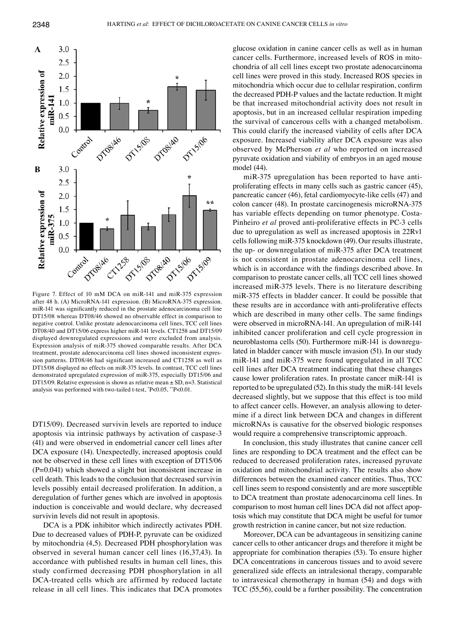

Figure 7. Effect of 10 mM DCA on miR-141 and miR-375 expression after 48 h. (A) MicroRNA-141 expression. (B) MicroRNA-375 expression. miR‑141 was significantly reduced in the prostate adenocarcinoma cell line DT15/08 whereas DT08/46 showed no observable effect in comparison to negative control. Unlike prostate adenocarcinoma cell lines, TCC cell lines DT08/40 and DT15/06 express higher miR-141 levels. CT1258 and DT15/09 displayed downregulated expressions and were excluded from analysis. Expression analysis of miR-375 showed comparable results. After DCA treatment, prostate adenocarcinoma cell lines showed inconsistent expression patterns. DT08/46 had significant increased and CT1258 as well as DT15/08 displayed no effects on miR-375 levels. In contrast, TCC cell lines demonstrated upregulated expression of miR-375, especially DT15/06 and DT15/09. Relative expression is shown as relative mean  $\pm$  SD, n=3. Statistical analysis was performed with two-tailed t-test, \* P<0.05, \*\*P<0.01.

DT15/09). Decreased survivin levels are reported to induce apoptosis via intrinsic pathways by activation of caspase-3 (41) and were observed in endometrial cancer cell lines after DCA exposure (14). Unexpectedly, increased apoptosis could not be observed in these cell lines with exception of DT15/06 (P=0.041) which showed a slight but inconsistent increase in cell death. This leads to the conclusion that decreased survivin levels possibly entail decreased proliferation. In addition, a deregulation of further genes which are involved in apoptosis induction is conceivable and would declare, why decreased survivin levels did not result in apoptosis.

DCA is a PDK inhibitor which indirectly activates PDH. Due to decreased values of PDH-P, pyruvate can be oxidized by mitochondria (4,5). Decreased PDH phosphorylation was observed in several human cancer cell lines (16,37,43). In accordance with published results in human cell lines, this study confirmed decreasing PDH phosphorylation in all DCA-treated cells which are affirmed by reduced lactate release in all cell lines. This indicates that DCA promotes glucose oxidation in canine cancer cells as well as in human cancer cells. Furthermore, increased levels of ROS in mitochondria of all cell lines except two prostate adenocarcinoma cell lines were proved in this study. Increased ROS species in mitochondria which occur due to cellular respiration, confirm the decreased PDH-P values and the lactate reduction. It might be that increased mitochondrial activity does not result in apoptosis, but in an increased cellular respiration impeding the survival of cancerous cells with a changed metabolism. This could clarify the increased viability of cells after DCA exposure. Increased viability after DCA exposure was also observed by McPherson *et al* who reported on increased pyruvate oxidation and viability of embryos in an aged mouse model (44).

miR-375 upregulation has been reported to have antiproliferating effects in many cells such as gastric cancer (45), pancreatic cancer (46), fetal cardiomyocyte-like cells (47) and colon cancer (48). In prostate carcinogenesis microRNA-375 has variable effects depending on tumor phenotype. Costa-Pinheiro *et al* proved anti-proliferative effects in PC-3 cells due to upregulation as well as increased apoptosis in 22Rv1 cells following miR-375 knockdown (49). Our results illustrate, the up- or downregulation of miR-375 after DCA treatment is not consistent in prostate adenocarcinoma cell lines, which is in accordance with the findings described above. In comparison to prostate cancer cells, all TCC cell lines showed increased miR-375 levels. There is no literature describing miR-375 effects in bladder cancer. It could be possible that these results are in accordance with anti-proliferative effects which are described in many other cells. The same findings were observed in microRNA-141. An upregulation of miR-141 inhibited cancer proliferation and cell cycle progression in neuroblastoma cells (50). Furthermore miR-141 is downregulated in bladder cancer with muscle invasion (51). In our study miR-141 and miR-375 were found upregulated in all TCC cell lines after DCA treatment indicating that these changes cause lower proliferation rates. In prostate cancer miR-141 is reported to be upregulated (52). In this study the miR-141 levels decreased slightly, but we suppose that this effect is too mild to affect cancer cells. However, an analysis allowing to determine if a direct link between DCA and changes in different microRNAs is causative for the observed biologic responses would require a comprehensive transcriptomic approach.

In conclusion, this study illustrates that canine cancer cell lines are responding to DCA treatment and the effect can be reduced to decreased proliferation rates, increased pyruvate oxidation and mitochondrial activity. The results also show differences between the examined cancer entities. Thus, TCC cell lines seem to respond consistently and are more susceptible to DCA treatment than prostate adenocarcinoma cell lines. In comparison to most human cell lines DCA did not affect apoptosis which may constitute that DCA might be useful for tumor growth restriction in canine cancer, but not size reduction.

Moreover, DCA can be advantageous in sensitizing canine cancer cells to other anticancer drugs and therefore it might be appropriate for combination therapies (53). To ensure higher DCA concentrations in cancerous tissues and to avoid severe generalized side effects an intralesional therapy, comparable to intravesical chemotherapy in human (54) and dogs with TCC (55,56), could be a further possibility. The concentration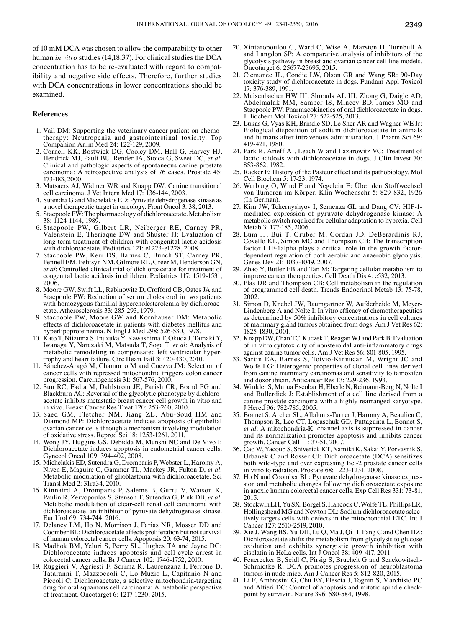of 10 mM DCA was chosen to allow the comparability to other human *in vitro* studies (14,18,37). For clinical studies the DCA concentration has to be re-evaluated with regard to compatibility and negative side effects. Therefore, further studies with DCA concentrations in lower concentrations should be examined.

#### **References**

- 1. Vail DM: Supporting the veterinary cancer patient on chemotherapy: Neutropenia and gastrointestinal toxicity. Top Companion Anim Med 24: 122-129, 2009.
- 2. Cornell KK, Bostwick DG, Cooley DM, Hall G, Harvey HJ, Hendrick MJ, Pauli BU, Render JA, Stoica G, Sweet DC, *et al*: Clinical and pathologic aspects of spontaneous canine prostate carcinoma: A retrospective analysis of 76 cases. Prostate 45: 173-183, 2000.
- 3. Mutsaers AJ, Widmer WR and Knapp DW: Canine transitional cell carcinoma. J Vet Intern Med 17: 136-144, 2003.
- 4. Sutendra G and Michelakis ED: Pyruvate dehydrogenase kinase as a novel therapeutic target in oncology. Front Oncol 3: 38, 2013.
- 5. Stacpoole PW: The pharmacology of dichloroacetate. Metabolism 38: 1124-1144, 1989.
- 6. Stacpoole PW, Gilbert LR, Neiberger RE, Carney PR, Valenstein E, Theriaque DW and Shuster JJ: Evaluation of long-term treatment of children with congenital lactic acidosis with dichloroacetate. Pediatrics 121: e1223-e1228, 2008.
- 7. Stacpoole PW, Kerr DS, Barnes C, Bunch ST, Carney PR, Fennell EM, Felitsyn NM, Gilmore RL, Greer M, Henderson GN, *et al*: Controlled clinical trial of dichloroacetate for treatment of congenital lactic acidosis in children. Pediatrics 117: 1519-1531, 2006.
- 8. Moore GW, Swift LL, Rabinowitz D, Crofford OB, Oates JA and Stacpoole PW: Reduction of serum cholesterol in two patients with homozygous familial hypercholesterolemia by dichloroacetate. Atherosclerosis 33: 285-293, 1979.
- 9. Stacpoole PW, Moore GW and Kornhauser DM: Metabolic effects of dichloroacetate in patients with diabetes mellitus and hyperlipoproteinemia. N Engl J Med 298: 526-530, 1978.
- 10. Kato T, Niizuma S, Inuzuka Y, Kawashima T, Okuda J, Tamaki Y, Iwanaga Y, Narazaki M, Matsuda T, Soga T, *et al*: Analysis of metabolic remodeling in compensated left ventricular hypertrophy and heart failure. Circ Heart Fail 3: 420-430, 2010.
- 11. Sánchez-Aragó M, Chamorro M and Cuezva JM: Selection of cancer cells with repressed mitochondria triggers colon cancer progression. Carcinogenesis 31: 567-576, 2010.
- 12. Sun RC, Fadia M, Dahlstrom JE, Parish CR, Board PG and Blackburn AC: Reversal of the glycolytic phenotype by dichloroacetate inhibits metastatic breast cancer cell growth in vitro and in vivo. Breast Cancer Res Treat 120: 253-260, 2010.
- 13. Saed GM, Fletcher NM, Jiang ZL, Abu-Soud HM and Diamond MP: Dichloroacetate induces apoptosis of epithelial ovarian cancer cells through a mechanism involving modulation of oxidative stress. Reprod Sci 18: 1253-1261, 2011.
- 14. Wong JY, Huggins GS, Debidda M, Munshi NC and De Vivo I: Dichloroacetate induces apoptosis in endometrial cancer cells. Gynecol Oncol 109: 394-402, 2008.
- 15. Michelakis ED, Sutendra G, Dromparis P, Webster L, Haromy A, Niven E, Maguire C, Gammer TL, Mackey JR, Fulton D, *et al*: Metabolic modulation of glioblastoma with dichloroacetate. Sci Transl Med 2: 31ra34, 2010.
- 16. Kinnaird A, Dromparis P, Saleme B, Gurtu V, Watson K, Paulin R, Zervopoulos S, Stenson T, Sutendra G, Pink DB, *et al*: Metabolic modulation of clear-cell renal cell carcinoma with dichloroacetate, an inhibitor of pyruvate dehydrogenase kinase. Eur Urol 69: 734-744, 2016.
- 17. Delaney LM, Ho N, Morrison J, Farias NR, Mosser DD and Coomber BL: Dichloroacetate affects proliferation but not survival of human colorectal cancer cells. Apoptosis 20: 63-74, 2015.
- 18. Madhok BM, Yeluri S, Perry SL, Hughes TA and Jayne DG: Dichloroacetate induces apoptosis and cell-cycle arrest in colorectal cancer cells. Br J Cancer 102: 1746-1752, 2010.
- 19. Ruggieri V, Agriesti F, Scrima R, Laurenzana I, Perrone D, Tataranni T, Mazzoccoli C, Lo Muzio L, Capitanio N and Piccoli C: Dichloroacetate, a selective mitochondria-targeting drug for oral squamous cell carcinoma: A metabolic perspective of treatment. Oncotarget 6: 1217-1230, 2015.
- 20. Xintaropoulou C, Ward C, Wise A, Marston H, Turnbull A and Langdon SP: A comparative analysis of inhibitors of the glycolysis pathway in breast and ovarian cancer cell line models. Oncotarget 6: 25677-25695, 2015.
- 21. Cicmanec JL, Condie LW, Olson GR and Wang SR: 90-Day toxicity study of dichloroacetate in dogs. Fundam Appl Toxicol 17: 376-389, 1991.
- 22. Maisenbacher HW III, Shroads AL III, Zhong G, Daigle AD, Abdelmalak MM, Samper IS, Mincey BD, James MO and Stacpoole PW: Pharmacokinetics of oral dichloroacetate in dogs. J Biochem Mol Toxicol 27: 522-525, 2013.
- 23. Lukas G, Vyas KH, Brindle SD, Le Sher AR and Wagner WE Jr: Biological disposition of sodium dichloroacetate in animals and humans after intravenous administration. J Pharm Sci 69: 419-421, 1980.
- 24. Park R, Arieff AI, Leach W and Lazarowitz VC: Treatment of lactic acidosis with dichloroacetate in dogs. J Clin Invest 70: 853-862, 1982.
- 25. Racker E: History of the Pasteur effect and its pathobiology. Mol Cell Biochem 5: 17-23, 1974.
- 26. Warburg O, Wind F and Negelein E: Über den Stoffwechsel von Tumoren im Körper. Klin Wochenschr 5: 829-832, 1926 (In German).
- 27. Kim JW, Tchernyshyov I, Semenza GL and Dang CV: HIF-1 mediated expression of pyruvate dehydrogenase kinase: A metabolic switch required for cellular adaptation to hypoxia. Cell Metab 3: 177-185, 2006.
- 28. Lum JJ, Bui T, Gruber M, Gordan JD, DeBerardinis RJ, Covello KL, Simon MC and Thompson CB: The transcription factor HIF-1alpha plays a critical role in the growth factordependent regulation of both aerobic and anaerobic glycolysis. Genes Dev 21: 1037-1049, 2007.
- 29. Zhao Y, Butler EB and Tan M: Targeting cellular metabolism to improve cancer therapeutics. Cell Death Dis 4: e532, 2013.
- 30. Plas DR and Thompson CB: Cell metabolism in the regulation of programmed cell death. Trends Endocrinol Metab 13: 75-78, 2002.
- 31. Simon D, Knebel JW, Baumgartner W, Aufderheide M, Meyer-Lindenberg A and Nolte I: In vitro efficacy of chemotherapeutics as determined by 50% inhibitory concentrations in cell cultures of mammary gland tumors obtained from dogs. Am J Vet Res 62: 1825-1830, 2001.
- 32. Knapp DW, Chan TC, Kuczek T, Reagan WJ and Park B: Evaluation of in vitro cytotoxicity of nonsteroidal anti-inflammatory drugs against canine tumor cells. Am J Vet Res 56: 801-805, 1995.
- 33. Sartin EA, Barnes S, Toivio-Kinnucan M, Wright JC and Wolfe LG: Heterogenic properties of clonal cell lines derived from canine mammary carcinomas and sensitivity to tamoxifen and doxorubicin. Anticancer Res 13: 229-236, 1993.
- 34. Winkler S, Murua Escobar H, Eberle N, Reimann-Berg N, Nolte I and Bullerdiek J: Establishment of a cell line derived from a canine prostate carcinoma with a highly rearranged karyotype. J Hered 96: 782-785, 2005.
- 35. Bonnet S, Archer SL, Allalunis-Turner J, Haromy A, Beaulieu C, Thompson R, Lee CT, Lopaschuk GD, Puttagunta L, Bonnet S, *et al*: A mitochondria-K+ channel axis is suppressed in cancer and its normalization promotes apoptosis and inhibits cancer growth. Cancer Cell 11: 37-51, 2007.
- 36. Cao W, Yacoub S, Shiverick KT, Namiki K, Sakai Y, Porvasnik S, Urbanek C and Rosser CJ: Dichloroacetate (DCA) sensitizes both wild-type and over expressing Bcl-2 prostate cancer cells in vitro to radiation. Prostate 68: 1223-1231, 2008.
- 37. Ho N and Coomber BL: Pyruvate dehydrogenase kinase expression and metabolic changes following dichloroacetate exposure in anoxic human colorectal cancer cells. Exp Cell Res 331: 73-81, 2015.
- 38. Stockwin LH, Yu SX, Borgel S, Hancock C, Wolfe TL, PhillipsLR, Hollingshead MG and Newton DL: Sodium dichloroacetate selec- tively targets cells with defects in the mitochondrial ETC. Int J Cancer 127: 2510-2519, 2010.
- 39. Xie J, Wang BS, Yu DH, Lu Q, Ma J, Qi H, Fang C and Chen HZ: Dichloroacetate shifts the metabolism from glycolysis to glucose oxidation and exhibits synergistic growth inhibition with cisplatin in HeLa cells. Int J Oncol 38: 409-417, 2011.
- 40. Feuerecker B, Seidl C, Pirsig S, Bruchelt G and Senekowitsch-Schmidtke R: DCA promotes progression of neuroblastoma tumors in nude mice. Am J Cancer Res 5: 812-820, 2015.
- 41. Li F, Ambrosini G, Chu EY, Plescia J, Tognin S, Marchisio PC and Altieri DC: Control of apoptosis and mitotic spindle checkpoint by survivin. Nature 396: 580-584, 1998.